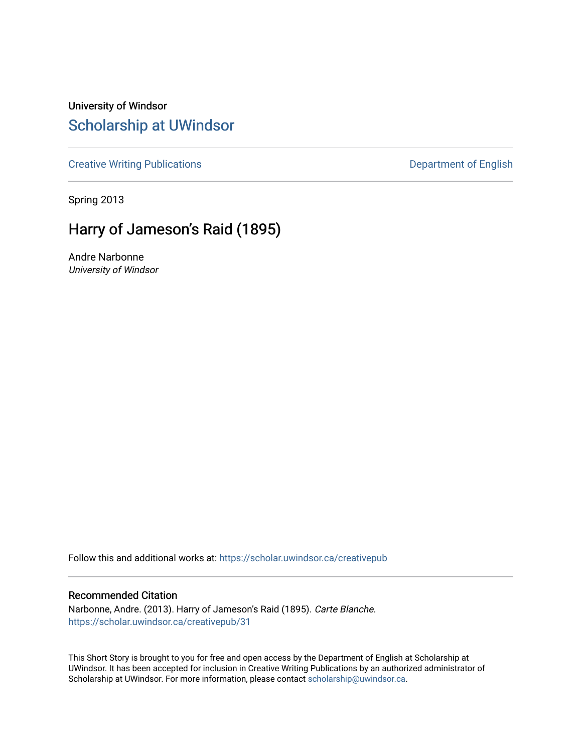University of Windsor [Scholarship at UWindsor](https://scholar.uwindsor.ca/) 

[Creative Writing Publications](https://scholar.uwindsor.ca/creativepub) **Department of English** 

Spring 2013

## Harry of Jameson's Raid (1895)

Andre Narbonne University of Windsor

Follow this and additional works at: [https://scholar.uwindsor.ca/creativepub](https://scholar.uwindsor.ca/creativepub?utm_source=scholar.uwindsor.ca%2Fcreativepub%2F31&utm_medium=PDF&utm_campaign=PDFCoverPages) 

#### Recommended Citation

Narbonne, Andre. (2013). Harry of Jameson's Raid (1895). Carte Blanche. [https://scholar.uwindsor.ca/creativepub/31](https://scholar.uwindsor.ca/creativepub/31?utm_source=scholar.uwindsor.ca%2Fcreativepub%2F31&utm_medium=PDF&utm_campaign=PDFCoverPages)

This Short Story is brought to you for free and open access by the Department of English at Scholarship at UWindsor. It has been accepted for inclusion in Creative Writing Publications by an authorized administrator of Scholarship at UWindsor. For more information, please contact [scholarship@uwindsor.ca.](mailto:scholarship@uwindsor.ca)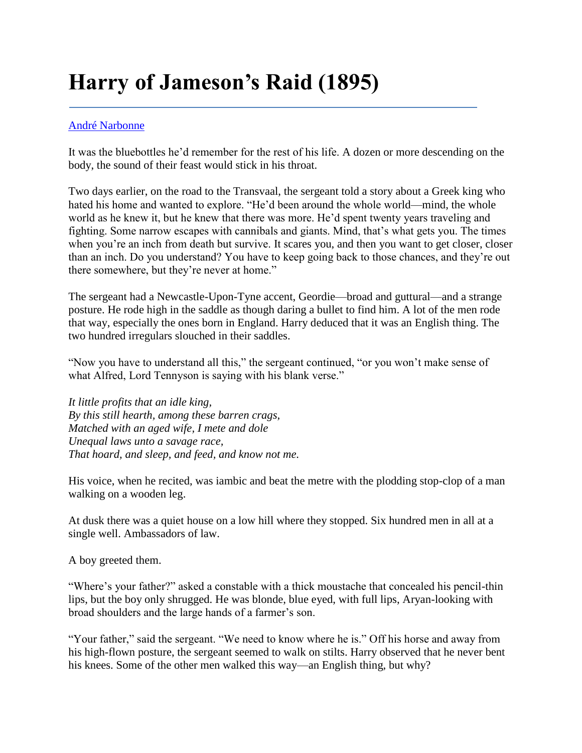# **Harry of Jameson's Raid (1895)**

### [André Narbonne](http://carte-blanche.org/articles/harry-of-jamesons-raid-1895-andre-narbonne/#cb-author-bio)

It was the bluebottles he'd remember for the rest of his life. A dozen or more descending on the body, the sound of their feast would stick in his throat.

Two days earlier, on the road to the Transvaal, the sergeant told a story about a Greek king who hated his home and wanted to explore. "He'd been around the whole world—mind, the whole world as he knew it, but he knew that there was more. He'd spent twenty years traveling and fighting. Some narrow escapes with cannibals and giants. Mind, that's what gets you. The times when you're an inch from death but survive. It scares you, and then you want to get closer, closer than an inch. Do you understand? You have to keep going back to those chances, and they're out there somewhere, but they're never at home."

The sergeant had a Newcastle-Upon-Tyne accent, Geordie—broad and guttural—and a strange posture. He rode high in the saddle as though daring a bullet to find him. A lot of the men rode that way, especially the ones born in England. Harry deduced that it was an English thing. The two hundred irregulars slouched in their saddles.

"Now you have to understand all this," the sergeant continued, "or you won't make sense of what Alfred, Lord Tennyson is saying with his blank verse."

*It little profits that an idle king, By this still hearth, among these barren crags, Matched with an aged wife, I mete and dole Unequal laws unto a savage race, That hoard, and sleep, and feed, and know not me.*

His voice, when he recited, was iambic and beat the metre with the plodding stop-clop of a man walking on a wooden leg.

At dusk there was a quiet house on a low hill where they stopped. Six hundred men in all at a single well. Ambassadors of law.

A boy greeted them.

"Where's your father?" asked a constable with a thick moustache that concealed his pencil-thin lips, but the boy only shrugged. He was blonde, blue eyed, with full lips, Aryan-looking with broad shoulders and the large hands of a farmer's son.

"Your father," said the sergeant. "We need to know where he is." Off his horse and away from his high-flown posture, the sergeant seemed to walk on stilts. Harry observed that he never bent his knees. Some of the other men walked this way—an English thing, but why?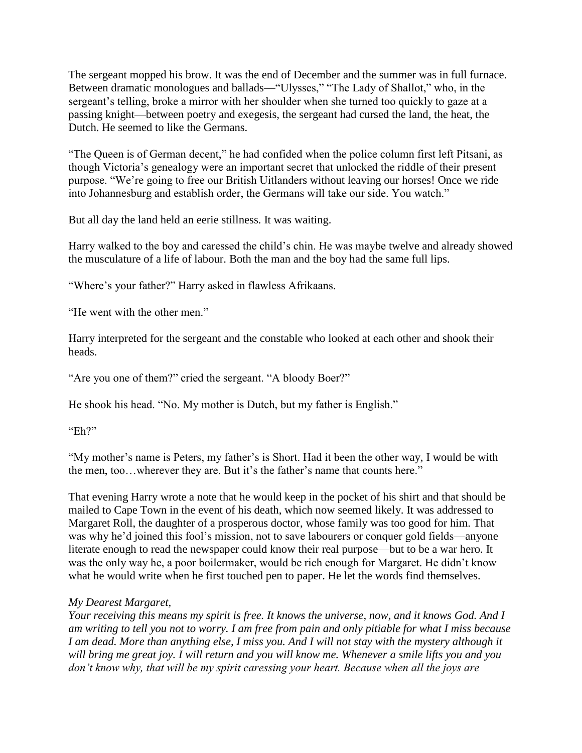The sergeant mopped his brow. It was the end of December and the summer was in full furnace. Between dramatic monologues and ballads—"Ulysses," "The Lady of Shallot," who, in the sergeant's telling, broke a mirror with her shoulder when she turned too quickly to gaze at a passing knight—between poetry and exegesis, the sergeant had cursed the land, the heat, the Dutch. He seemed to like the Germans.

"The Queen is of German decent," he had confided when the police column first left Pitsani, as though Victoria's genealogy were an important secret that unlocked the riddle of their present purpose. "We're going to free our British Uitlanders without leaving our horses! Once we ride into Johannesburg and establish order, the Germans will take our side. You watch."

But all day the land held an eerie stillness. It was waiting.

Harry walked to the boy and caressed the child's chin. He was maybe twelve and already showed the musculature of a life of labour. Both the man and the boy had the same full lips.

"Where's your father?" Harry asked in flawless Afrikaans.

"He went with the other men."

Harry interpreted for the sergeant and the constable who looked at each other and shook their heads.

"Are you one of them?" cried the sergeant. "A bloody Boer?"

He shook his head. "No. My mother is Dutch, but my father is English."

"Eh?"

"My mother's name is Peters, my father's is Short. Had it been the other way, I would be with the men, too…wherever they are. But it's the father's name that counts here."

That evening Harry wrote a note that he would keep in the pocket of his shirt and that should be mailed to Cape Town in the event of his death, which now seemed likely. It was addressed to Margaret Roll, the daughter of a prosperous doctor, whose family was too good for him. That was why he'd joined this fool's mission, not to save labourers or conquer gold fields—anyone literate enough to read the newspaper could know their real purpose—but to be a war hero. It was the only way he, a poor boilermaker, would be rich enough for Margaret. He didn't know what he would write when he first touched pen to paper. He let the words find themselves.

### *My Dearest Margaret,*

*Your receiving this means my spirit is free. It knows the universe, now, and it knows God. And I am writing to tell you not to worry. I am free from pain and only pitiable for what I miss because I am dead. More than anything else, I miss you. And I will not stay with the mystery although it will bring me great joy. I will return and you will know me. Whenever a smile lifts you and you don't know why, that will be my spirit caressing your heart. Because when all the joys are*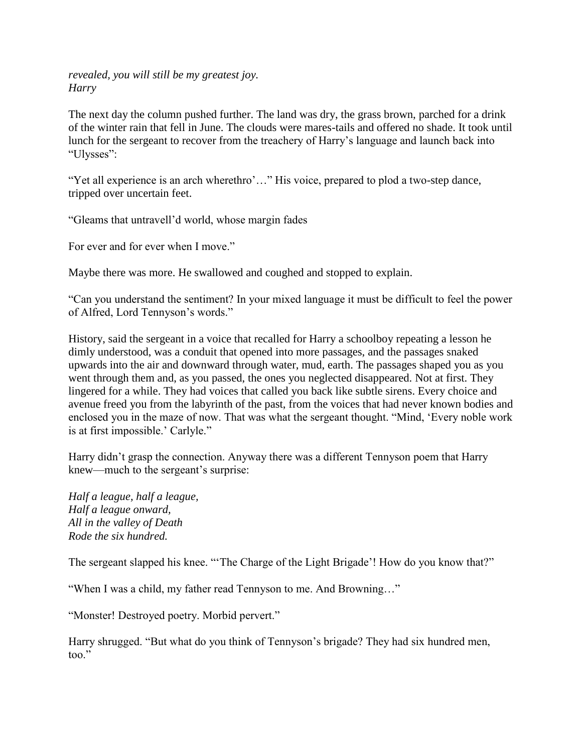*revealed, you will still be my greatest joy. Harry*

The next day the column pushed further. The land was dry, the grass brown, parched for a drink of the winter rain that fell in June. The clouds were mares-tails and offered no shade. It took until lunch for the sergeant to recover from the treachery of Harry's language and launch back into "Ulysses":

"Yet all experience is an arch wherethro'..." His voice, prepared to plod a two-step dance, tripped over uncertain feet.

"Gleams that untravell'd world, whose margin fades

For ever and for ever when I move."

Maybe there was more. He swallowed and coughed and stopped to explain.

"Can you understand the sentiment? In your mixed language it must be difficult to feel the power of Alfred, Lord Tennyson's words."

History, said the sergeant in a voice that recalled for Harry a schoolboy repeating a lesson he dimly understood, was a conduit that opened into more passages, and the passages snaked upwards into the air and downward through water, mud, earth. The passages shaped you as you went through them and, as you passed, the ones you neglected disappeared. Not at first. They lingered for a while. They had voices that called you back like subtle sirens. Every choice and avenue freed you from the labyrinth of the past, from the voices that had never known bodies and enclosed you in the maze of now. That was what the sergeant thought. "Mind, 'Every noble work is at first impossible.' Carlyle."

Harry didn't grasp the connection. Anyway there was a different Tennyson poem that Harry knew—much to the sergeant's surprise:

*Half a league, half a league, Half a league onward, All in the valley of Death Rode the six hundred.*

The sergeant slapped his knee. "'The Charge of the Light Brigade'! How do you know that?"

"When I was a child, my father read Tennyson to me. And Browning…"

"Monster! Destroyed poetry. Morbid pervert."

Harry shrugged. "But what do you think of Tennyson's brigade? They had six hundred men, too."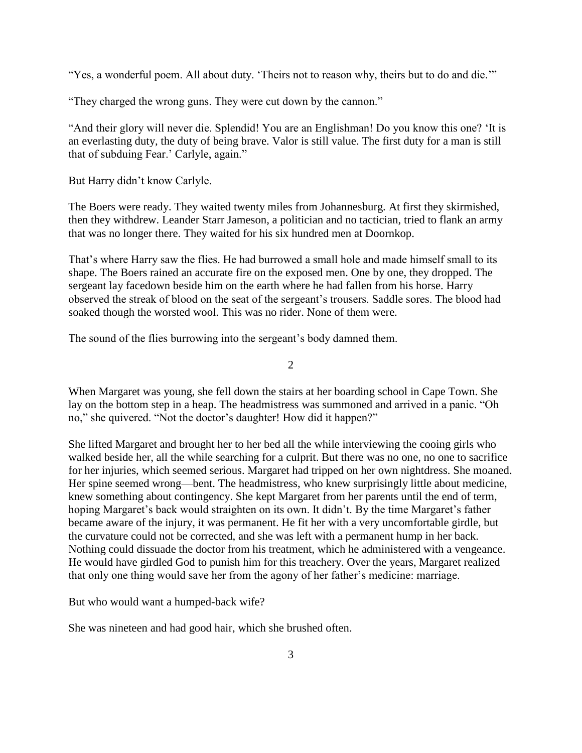"Yes, a wonderful poem. All about duty. 'Theirs not to reason why, theirs but to do and die.'"

"They charged the wrong guns. They were cut down by the cannon."

"And their glory will never die. Splendid! You are an Englishman! Do you know this one? 'It is an everlasting duty, the duty of being brave. Valor is still value. The first duty for a man is still that of subduing Fear.' Carlyle, again."

But Harry didn't know Carlyle.

The Boers were ready. They waited twenty miles from Johannesburg. At first they skirmished, then they withdrew. Leander Starr Jameson, a politician and no tactician, tried to flank an army that was no longer there. They waited for his six hundred men at Doornkop.

That's where Harry saw the flies. He had burrowed a small hole and made himself small to its shape. The Boers rained an accurate fire on the exposed men. One by one, they dropped. The sergeant lay facedown beside him on the earth where he had fallen from his horse. Harry observed the streak of blood on the seat of the sergeant's trousers. Saddle sores. The blood had soaked though the worsted wool. This was no rider. None of them were.

The sound of the flies burrowing into the sergeant's body damned them.

2

When Margaret was young, she fell down the stairs at her boarding school in Cape Town. She lay on the bottom step in a heap. The headmistress was summoned and arrived in a panic. "Oh no," she quivered. "Not the doctor's daughter! How did it happen?"

She lifted Margaret and brought her to her bed all the while interviewing the cooing girls who walked beside her, all the while searching for a culprit. But there was no one, no one to sacrifice for her injuries, which seemed serious. Margaret had tripped on her own nightdress. She moaned. Her spine seemed wrong—bent. The headmistress, who knew surprisingly little about medicine, knew something about contingency. She kept Margaret from her parents until the end of term, hoping Margaret's back would straighten on its own. It didn't. By the time Margaret's father became aware of the injury, it was permanent. He fit her with a very uncomfortable girdle, but the curvature could not be corrected, and she was left with a permanent hump in her back. Nothing could dissuade the doctor from his treatment, which he administered with a vengeance. He would have girdled God to punish him for this treachery. Over the years, Margaret realized that only one thing would save her from the agony of her father's medicine: marriage.

But who would want a humped-back wife?

She was nineteen and had good hair, which she brushed often.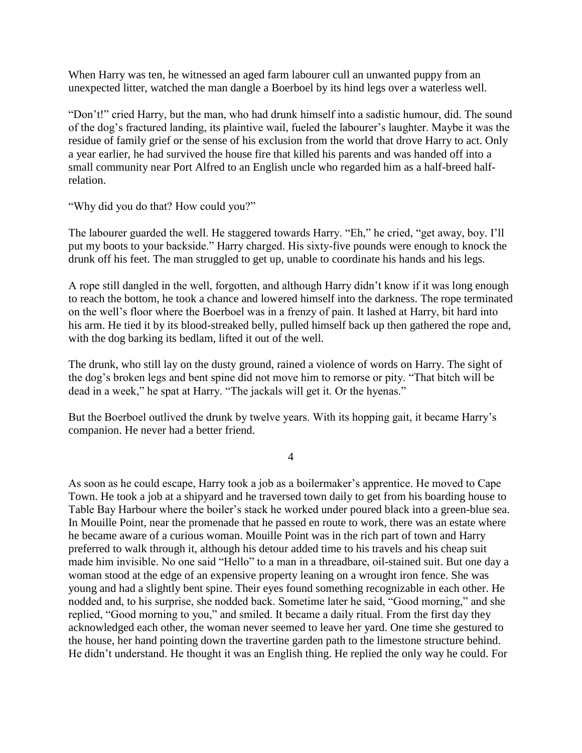When Harry was ten, he witnessed an aged farm labourer cull an unwanted puppy from an unexpected litter, watched the man dangle a Boerboel by its hind legs over a waterless well.

"Don't!" cried Harry, but the man, who had drunk himself into a sadistic humour, did. The sound of the dog's fractured landing, its plaintive wail, fueled the labourer's laughter. Maybe it was the residue of family grief or the sense of his exclusion from the world that drove Harry to act. Only a year earlier, he had survived the house fire that killed his parents and was handed off into a small community near Port Alfred to an English uncle who regarded him as a half-breed halfrelation.

"Why did you do that? How could you?"

The labourer guarded the well. He staggered towards Harry. "Eh," he cried, "get away, boy. I'll put my boots to your backside." Harry charged. His sixty-five pounds were enough to knock the drunk off his feet. The man struggled to get up, unable to coordinate his hands and his legs.

A rope still dangled in the well, forgotten, and although Harry didn't know if it was long enough to reach the bottom, he took a chance and lowered himself into the darkness. The rope terminated on the well's floor where the Boerboel was in a frenzy of pain. It lashed at Harry, bit hard into his arm. He tied it by its blood-streaked belly, pulled himself back up then gathered the rope and, with the dog barking its bedlam, lifted it out of the well.

The drunk, who still lay on the dusty ground, rained a violence of words on Harry. The sight of the dog's broken legs and bent spine did not move him to remorse or pity. "That bitch will be dead in a week," he spat at Harry. "The jackals will get it. Or the hyenas."

But the Boerboel outlived the drunk by twelve years. With its hopping gait, it became Harry's companion. He never had a better friend.

4

As soon as he could escape, Harry took a job as a boilermaker's apprentice. He moved to Cape Town. He took a job at a shipyard and he traversed town daily to get from his boarding house to Table Bay Harbour where the boiler's stack he worked under poured black into a green-blue sea. In Mouille Point, near the promenade that he passed en route to work, there was an estate where he became aware of a curious woman. Mouille Point was in the rich part of town and Harry preferred to walk through it, although his detour added time to his travels and his cheap suit made him invisible. No one said "Hello" to a man in a threadbare, oil-stained suit. But one day a woman stood at the edge of an expensive property leaning on a wrought iron fence. She was young and had a slightly bent spine. Their eyes found something recognizable in each other. He nodded and, to his surprise, she nodded back. Sometime later he said, "Good morning," and she replied, "Good morning to you," and smiled. It became a daily ritual. From the first day they acknowledged each other, the woman never seemed to leave her yard. One time she gestured to the house, her hand pointing down the travertine garden path to the limestone structure behind. He didn't understand. He thought it was an English thing. He replied the only way he could. For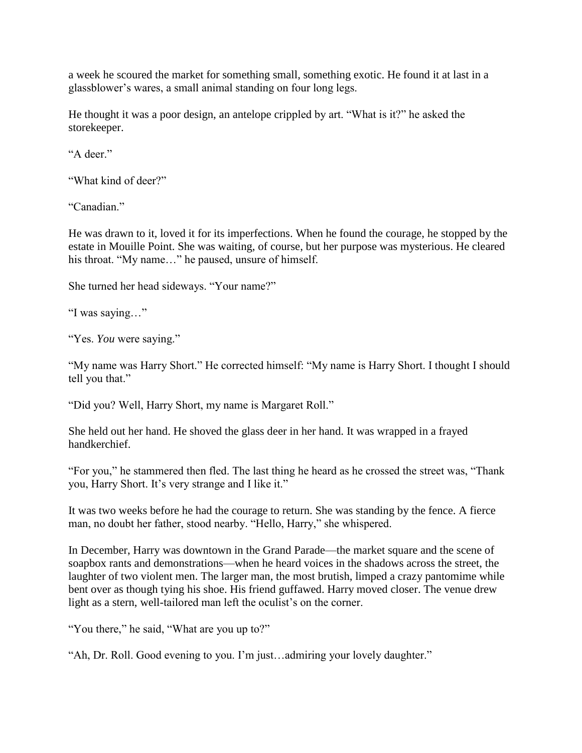a week he scoured the market for something small, something exotic. He found it at last in a glassblower's wares, a small animal standing on four long legs.

He thought it was a poor design, an antelope crippled by art. "What is it?" he asked the storekeeper.

"A deer."

"What kind of deer?"

"Canadian."

He was drawn to it, loved it for its imperfections. When he found the courage, he stopped by the estate in Mouille Point. She was waiting, of course, but her purpose was mysterious. He cleared his throat. "My name..." he paused, unsure of himself.

She turned her head sideways. "Your name?"

"I was saying…"

"Yes. *You* were saying."

"My name was Harry Short." He corrected himself: "My name is Harry Short. I thought I should tell you that."

"Did you? Well, Harry Short, my name is Margaret Roll."

She held out her hand. He shoved the glass deer in her hand. It was wrapped in a frayed handkerchief.

"For you," he stammered then fled. The last thing he heard as he crossed the street was, "Thank you, Harry Short. It's very strange and I like it."

It was two weeks before he had the courage to return. She was standing by the fence. A fierce man, no doubt her father, stood nearby. "Hello, Harry," she whispered.

In December, Harry was downtown in the Grand Parade—the market square and the scene of soapbox rants and demonstrations—when he heard voices in the shadows across the street, the laughter of two violent men. The larger man, the most brutish, limped a crazy pantomime while bent over as though tying his shoe. His friend guffawed. Harry moved closer. The venue drew light as a stern, well-tailored man left the oculist's on the corner.

"You there," he said, "What are you up to?"

"Ah, Dr. Roll. Good evening to you. I'm just…admiring your lovely daughter."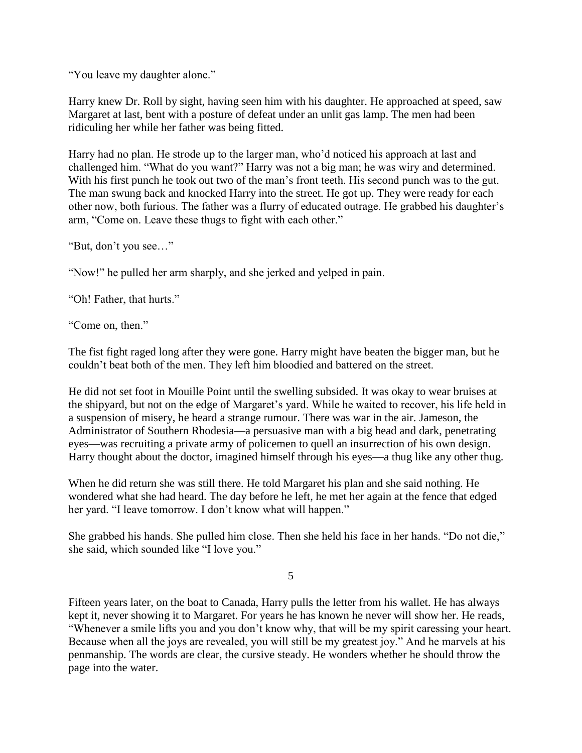"You leave my daughter alone."

Harry knew Dr. Roll by sight, having seen him with his daughter. He approached at speed, saw Margaret at last, bent with a posture of defeat under an unlit gas lamp. The men had been ridiculing her while her father was being fitted.

Harry had no plan. He strode up to the larger man, who'd noticed his approach at last and challenged him. "What do you want?" Harry was not a big man; he was wiry and determined. With his first punch he took out two of the man's front teeth. His second punch was to the gut. The man swung back and knocked Harry into the street. He got up. They were ready for each other now, both furious. The father was a flurry of educated outrage. He grabbed his daughter's arm, "Come on. Leave these thugs to fight with each other."

"But, don't you see…"

"Now!" he pulled her arm sharply, and she jerked and yelped in pain.

"Oh! Father, that hurts."

"Come on, then."

The fist fight raged long after they were gone. Harry might have beaten the bigger man, but he couldn't beat both of the men. They left him bloodied and battered on the street.

He did not set foot in Mouille Point until the swelling subsided. It was okay to wear bruises at the shipyard, but not on the edge of Margaret's yard. While he waited to recover, his life held in a suspension of misery, he heard a strange rumour. There was war in the air. Jameson, the Administrator of Southern Rhodesia—a persuasive man with a big head and dark, penetrating eyes—was recruiting a private army of policemen to quell an insurrection of his own design. Harry thought about the doctor, imagined himself through his eyes—a thug like any other thug.

When he did return she was still there. He told Margaret his plan and she said nothing. He wondered what she had heard. The day before he left, he met her again at the fence that edged her yard. "I leave tomorrow. I don't know what will happen."

She grabbed his hands. She pulled him close. Then she held his face in her hands. "Do not die," she said, which sounded like "I love you."

5

Fifteen years later, on the boat to Canada, Harry pulls the letter from his wallet. He has always kept it, never showing it to Margaret. For years he has known he never will show her. He reads, "Whenever a smile lifts you and you don't know why, that will be my spirit caressing your heart. Because when all the joys are revealed, you will still be my greatest joy." And he marvels at his penmanship. The words are clear, the cursive steady. He wonders whether he should throw the page into the water.